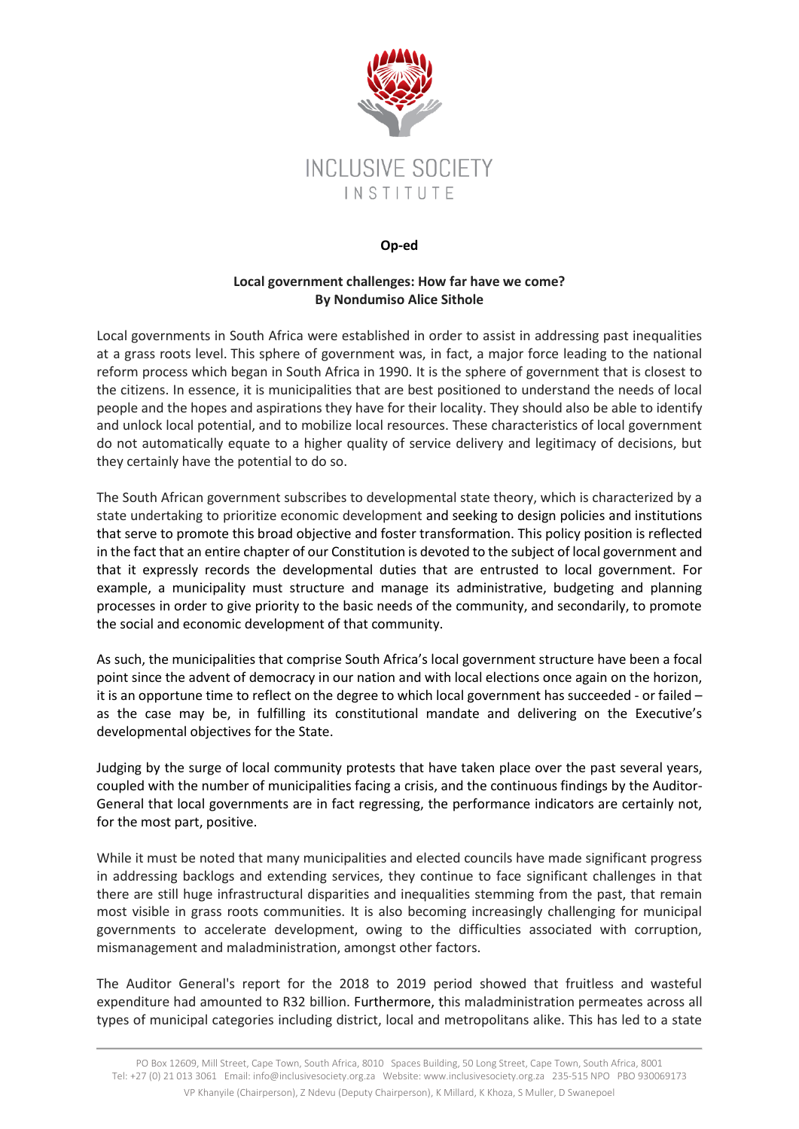

## **Op-ed**

## **Local government challenges: How far have we come? By Nondumiso Alice Sithole**

Local governments in South Africa were established in order to assist in addressing past inequalities at a grass roots level. This sphere of government was, in fact, a major force leading to the national reform process which began in South Africa in 1990. It is the sphere of government that is closest to the citizens. In essence, it is municipalities that are best positioned to understand the needs of local people and the hopes and aspirations they have for their locality. They should also be able to identify and unlock local potential, and to mobilize local resources. These characteristics of local government do not automatically equate to a higher quality of service delivery and legitimacy of decisions, but they certainly have the potential to do so.

The South African government subscribes to developmental state theory, which is characterized by a state undertaking to prioritize economic development and seeking to design policies and institutions that serve to promote this broad objective and foster transformation. This policy position is reflected in the fact that an entire chapter of our Constitution is devoted to the subject of local government and that it expressly records the developmental duties that are entrusted to local government. For example, a municipality must structure and manage its administrative, budgeting and planning processes in order to give priority to the basic needs of the community, and secondarily, to promote the social and economic development of that community.

As such, the municipalities that comprise South Africa's local government structure have been a focal point since the advent of democracy in our nation and with local elections once again on the horizon, it is an opportune time to reflect on the degree to which local government has succeeded - or failed – as the case may be, in fulfilling its constitutional mandate and delivering on the Executive's developmental objectives for the State.

Judging by the surge of local community protests that have taken place over the past several years, coupled with the number of municipalities facing a crisis, and the continuous findings by the Auditor-General that local governments are in fact regressing, the performance indicators are certainly not, for the most part, positive.

While it must be noted that many municipalities and elected councils have made significant progress in addressing backlogs and extending services, they continue to face significant challenges in that there are still huge infrastructural disparities and inequalities stemming from the past, that remain most visible in grass roots communities. It is also becoming increasingly challenging for municipal governments to accelerate development, owing to the difficulties associated with corruption, mismanagement and maladministration, amongst other factors.

The Auditor General's report for the 2018 to 2019 period showed that fruitless and wasteful expenditure had amounted to R32 billion. Furthermore, this maladministration permeates across all types of municipal categories including district, local and metropolitans alike. This has led to a state